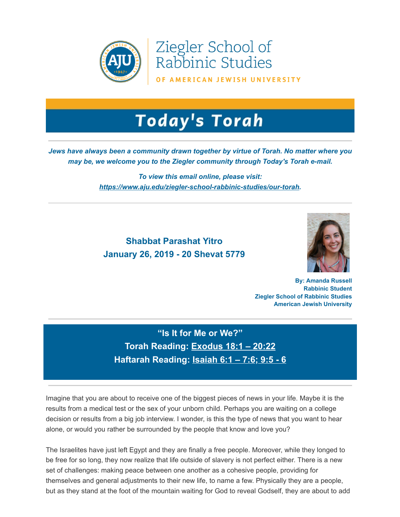

Ziegler School of Rabbinic Studies

OF AMERICAN JEWISH UNIVERSITY

## **Today's Torah**

### *Jews have always been a community drawn together by virtue of Torah. No matter where you may be, we welcome you to the Ziegler community through Today's Torah e-mail.*

*To view this email online, please visit: [https://www.aju.edu/ziegler-school-rabbinic-studies/our-torah](https://t.e2ma.net/click/k12a3/sziwr0/s7oa1i).*

## **Shabbat Parashat Yitro January 26, 2019 - 20 Shevat 5779**



**By: Amanda Russell Rabbinic Student Ziegler School of Rabbinic Studies American Jewish University**

**"Is It for Me or We?" Torah Reading: [Exodus 18:1 – 20:22](https://t.e2ma.net/click/k12a3/sziwr0/8zpa1i) Haftarah Reading: [Isaiah 6:1 – 7:6; 9:5 - 6](https://t.e2ma.net/click/k12a3/sziwr0/osqa1i)**

Imagine that you are about to receive one of the biggest pieces of news in your life. Maybe it is the results from a medical test or the sex of your unborn child. Perhaps you are waiting on a college decision or results from a big job interview. I wonder, is this the type of news that you want to hear alone, or would you rather be surrounded by the people that know and love you?

The Israelites have just left Egypt and they are finally a free people. Moreover, while they longed to be free for so long, they now realize that life outside of slavery is not perfect either. There is a new set of challenges: making peace between one another as a cohesive people, providing for themselves and general adjustments to their new life, to name a few. Physically they are a people, but as they stand at the foot of the mountain waiting for God to reveal Godself, they are about to add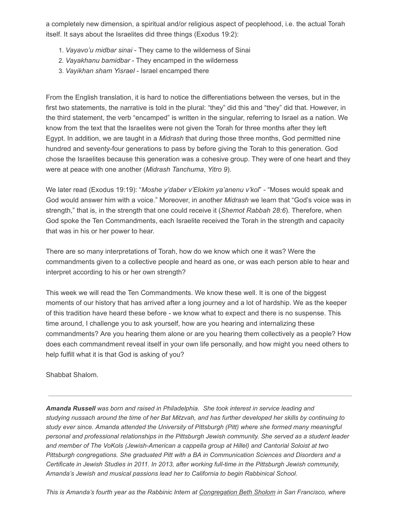a completely new dimension, a spiritual and/or religious aspect of peoplehood, i.e. the actual Torah itself. It says about the Israelites did three things (Exodus 19:2):

- 1. *Vayavo'u midbar sinai* They came to the wilderness of Sinai
- 2. *Vayakhanu bamidbar* They encamped in the wilderness
- 3. *Vayikhan sham Yisrael* Israel encamped there

From the English translation, it is hard to notice the differentiations between the verses, but in the first two statements, the narrative is told in the plural: "they" did this and "they" did that. However, in the third statement, the verb "encamped" is written in the singular, referring to Israel as a nation. We know from the text that the Israelites were not given the Torah for three months after they left Egypt. In addition, we are taught in a *Midrash* that during those three months, God permitted nine hundred and seventy-four generations to pass by before giving the Torah to this generation. God chose the Israelites because this generation was a cohesive group. They were of one heart and they were at peace with one another (*Midrash Tanchuma*, *Yitro 9*).

We later read (Exodus 19:19): "*Moshe y'daber v'Elokim ya'anenu v'kol*" - "Moses would speak and God would answer him with a voice." Moreover, in another *Midrash* we learn that "God's voice was in strength," that is, in the strength that one could receive it (*Shemot Rabbah 28:6*). Therefore, when God spoke the Ten Commandments, each Israelite received the Torah in the strength and capacity that was in his or her power to hear.

There are so many interpretations of Torah, how do we know which one it was? Were the commandments given to a collective people and heard as one, or was each person able to hear and interpret according to his or her own strength?

This week we will read the Ten Commandments. We know these well. It is one of the biggest moments of our history that has arrived after a long journey and a lot of hardship. We as the keeper of this tradition have heard these before - we know what to expect and there is no suspense. This time around, I challenge you to ask yourself, how are you hearing and internalizing these commandments? Are you hearing them alone or are you hearing them collectively as a people? How does each commandment reveal itself in your own life personally, and how might you need others to help fulfill what it is that God is asking of you?

Shabbat Shalom.

*Amanda Russell was born and raised in Philadelphia. She took interest in service leading and studying nussach around the time of her Bat Mitzvah, and has further developed her skills by continuing to study ever since. Amanda attended the University of Pittsburgh (Pitt) where she formed many meaningful personal and professional relationships in the Pittsburgh Jewish community. She served as a student leader and member of The VoKols (Jewish-American a cappella group at Hillel) and Cantorial Soloist at two Pittsburgh congregations. She graduated Pitt with a BA in Communication Sciences and Disorders and a Certificate in Jewish Studies in 2011. In 2013, after working full-time in the Pittsburgh Jewish community, Amanda's Jewish and musical passions lead her to California to begin Rabbinical School.* 

*This is Amanda's fourth year as the Rabbinic Intern at [Congregation Beth Sholom](https://t.e2ma.net/click/k12a3/sziwr0/kdsa1i) in San Francisco, where*